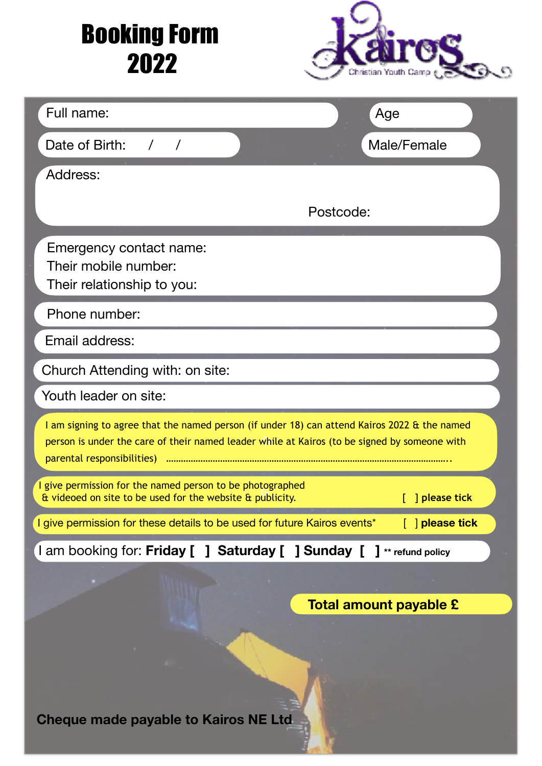## Booking Form 2022



| Full name:                                                                                                                                                                                   | Age                           |
|----------------------------------------------------------------------------------------------------------------------------------------------------------------------------------------------|-------------------------------|
|                                                                                                                                                                                              |                               |
| Date of Birth:<br>$\sqrt{2}$<br>$\sqrt{ }$                                                                                                                                                   | Male/Female                   |
| Address:                                                                                                                                                                                     |                               |
| Postcode:                                                                                                                                                                                    |                               |
| Emergency contact name:<br>Their mobile number:<br>Their relationship to you:                                                                                                                |                               |
| Phone number:                                                                                                                                                                                |                               |
| Email address:                                                                                                                                                                               |                               |
| Church Attending with: on site:                                                                                                                                                              |                               |
| Youth leader on site:                                                                                                                                                                        |                               |
| I am signing to agree that the named person (if under 18) can attend Kairos 2022 & the named<br>person is under the care of their named leader while at Kairos (to be signed by someone with |                               |
| I give permission for the named person to be photographed<br>& videoed on site to be used for the website & publicity.                                                                       | <b>Example 1</b> please tick  |
| I give permission for these details to be used for future Kairos events*                                                                                                                     | $\lceil$   please tick        |
| I am booking for: Friday [ ] Saturday [ ] Sunday [ ] ** refund policy                                                                                                                        |                               |
|                                                                                                                                                                                              |                               |
|                                                                                                                                                                                              | <b>Total amount payable £</b> |
| <b>Cheque made payable to Kairos NE Ltd</b>                                                                                                                                                  |                               |